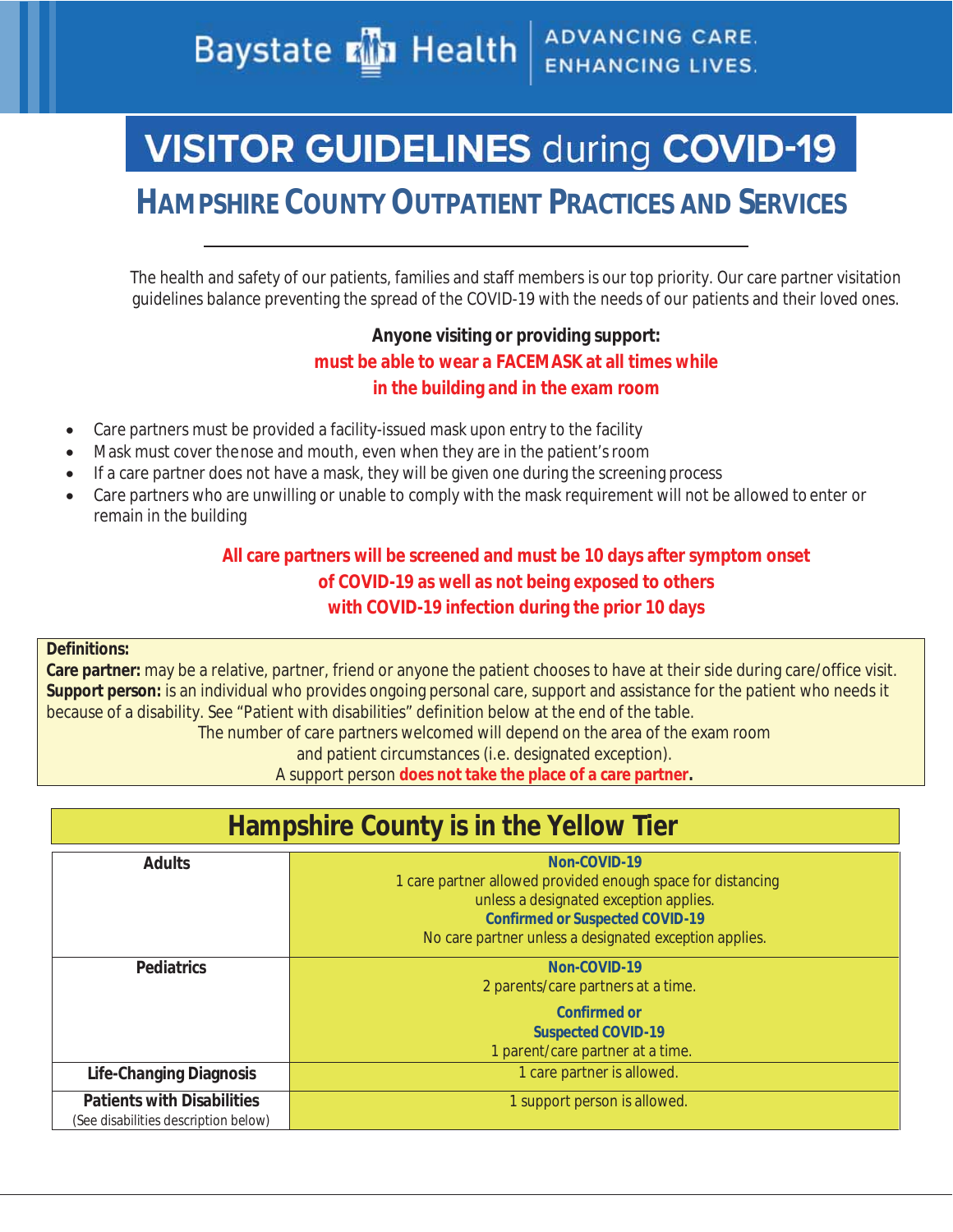**ADVANCING CARE. Baystate Min Health ENHANCING LIVES.** 

# **VISITOR GUIDELINES during COVID-19**

# **HAMPSHIRE COUNTY OUTPATIENT PRACTICES AND SERVICES**

The health and safety of our patients, families and staff members is our top priority. Our care partner visitation guidelines balance preventing the spread of the COVID-19 with the needs of our patients and their loved ones.

### **Anyone visiting or providing support: must be able to wear a FACEMASK at all times while in the building and in the exam room**

- Care partners must be provided a facility-issued mask upon entry to the facility
- Mask must cover the nose and mouth, even when they are in the patient's room
- $\bullet$  If a care partner does not have a mask, they will be given one during the screening process
- Care partners who are unwilling or unable to comply with the mask requirement will not be allowed to enter or remain in the building

### **All care partners will be screened and must be 10 days after symptom onset of COVID-19 as well as not being exposed to others with COVID-19 infection during the prior 10 days**

#### **Definitions:**

**Care partner:** may be a relative, partner, friend or anyone the patient chooses to have at their side during care/office visit. **Support person:** is an individual who provides ongoing personal care, support and assistance for the patient who needs it because of a disability. See "Patient with disabilities" definition below at the end of the table. The number of care partners welcomed will depend on the area of the exam room

and patient circumstances (i.e. designated exception).

A support person **does not take the place of a care partner.** 

## **Hampshire County is in the Yellow Tier**

| <b>Adults</b>                                                             | $Non-COVID-19$<br>1 care partner allowed provided enough space for distancing<br>unless a designated exception applies.<br><b>Confirmed or Suspected COVID-19</b><br>No care partner unless a designated exception applies. |
|---------------------------------------------------------------------------|-----------------------------------------------------------------------------------------------------------------------------------------------------------------------------------------------------------------------------|
| <b>Pediatrics</b>                                                         | $Non-COVID-19$<br>2 parents/care partners at a time.<br>Confirmed or<br><b>Suspected COVID-19</b>                                                                                                                           |
|                                                                           | 1 parent/care partner at a time.                                                                                                                                                                                            |
| Life-Changing Diagnosis                                                   | 1 care partner is allowed.                                                                                                                                                                                                  |
| <b>Patients with Disabilities</b><br>(See disabilities description below) | 1 support person is allowed.                                                                                                                                                                                                |